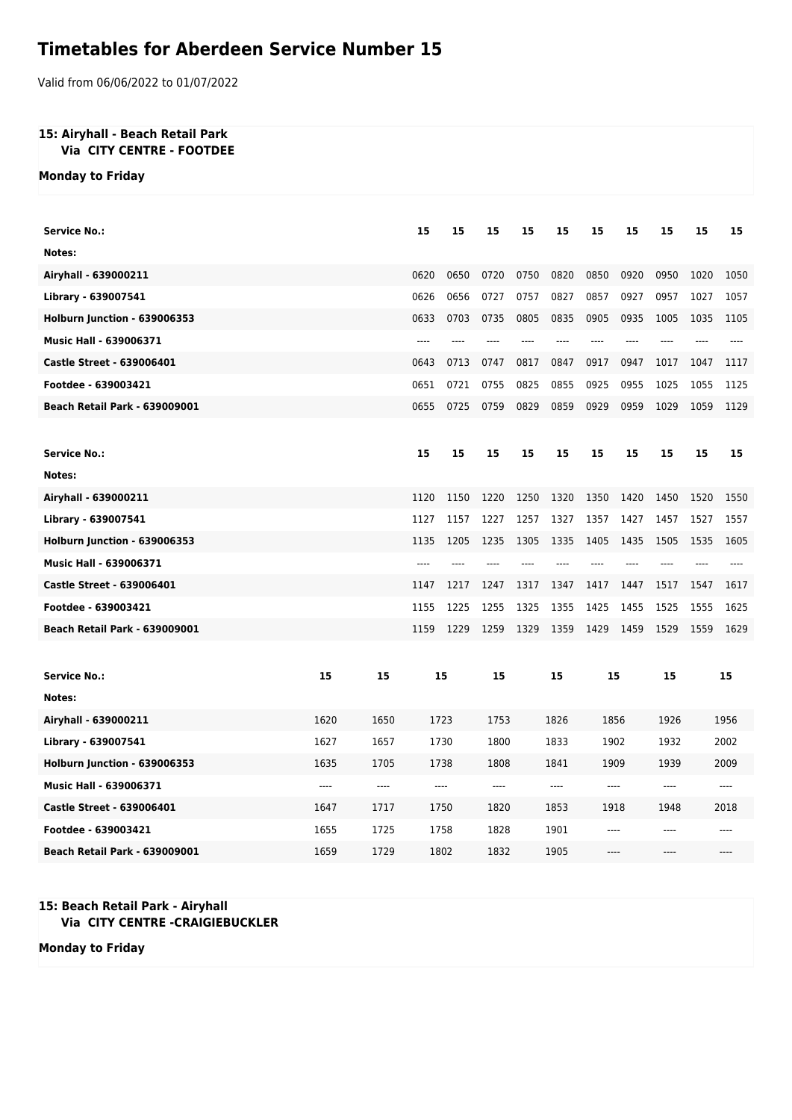## **Timetables for Aberdeen Service Number 15**

Valid from 06/06/2022 to 01/07/2022

## **15: Airyhall - Beach Retail Park Via CITY CENTRE - FOOTDEE**

**Monday to Friday**

| <b>Service No.:</b>                  |       |       | 15    | 15   | 15    | 15    | 15    | 15    | 15    | 15    | 15    | 15    |
|--------------------------------------|-------|-------|-------|------|-------|-------|-------|-------|-------|-------|-------|-------|
| Notes:                               |       |       |       |      |       |       |       |       |       |       |       |       |
| Airyhall - 639000211                 |       |       | 0620  | 0650 | 0720  | 0750  | 0820  | 0850  | 0920  | 0950  | 1020  | 1050  |
| Library - 639007541                  |       |       | 0626  | 0656 | 0727  | 0757  | 0827  | 0857  | 0927  | 0957  | 1027  | 1057  |
| Holburn Junction - 639006353         |       |       | 0633  | 0703 | 0735  | 0805  | 0835  | 0905  | 0935  | 1005  | 1035  | 1105  |
| Music Hall - 639006371               |       |       | $---$ | ---- | ----  | $---$ | $---$ | $---$ | ----  | ----  | $---$ | ----  |
| <b>Castle Street - 639006401</b>     |       |       | 0643  | 0713 | 0747  | 0817  | 0847  | 0917  | 0947  | 1017  | 1047  | 1117  |
| Footdee - 639003421                  |       |       | 0651  | 0721 | 0755  | 0825  | 0855  | 0925  | 0955  | 1025  | 1055  | 1125  |
| <b>Beach Retail Park - 639009001</b> |       |       | 0655  | 0725 | 0759  | 0829  | 0859  | 0929  | 0959  | 1029  | 1059  | 1129  |
|                                      |       |       |       |      |       |       |       |       |       |       |       |       |
| <b>Service No.:</b>                  |       |       | 15    | 15   | 15    | 15    | 15    | 15    | 15    | 15    | 15    | 15    |
| Notes:                               |       |       |       |      |       |       |       |       |       |       |       |       |
| Airyhall - 639000211                 |       |       | 1120  | 1150 | 1220  | 1250  | 1320  | 1350  | 1420  | 1450  | 1520  | 1550  |
| Library - 639007541                  |       |       | 1127  | 1157 | 1227  | 1257  | 1327  | 1357  | 1427  | 1457  | 1527  | 1557  |
| Holburn Junction - 639006353         |       |       | 1135  | 1205 | 1235  | 1305  | 1335  | 1405  | 1435  | 1505  | 1535  | 1605  |
| Music Hall - 639006371               |       |       | $---$ | ---- | $---$ | ----  | $---$ | $---$ | $---$ | ----  | ----  | ----  |
| <b>Castle Street - 639006401</b>     |       |       | 1147  | 1217 | 1247  | 1317  | 1347  | 1417  | 1447  | 1517  | 1547  | 1617  |
| Footdee - 639003421                  |       |       | 1155  | 1225 | 1255  | 1325  | 1355  | 1425  | 1455  | 1525  | 1555  | 1625  |
| <b>Beach Retail Park - 639009001</b> |       |       | 1159  | 1229 | 1259  | 1329  | 1359  | 1429  | 1459  | 1529  | 1559  | 1629  |
|                                      |       |       |       |      |       |       |       |       |       |       |       |       |
| <b>Service No.:</b>                  | 15    | 15    | 15    |      | 15    |       | 15    | 15    |       | 15    | 15    |       |
| Notes:                               |       |       |       |      |       |       |       |       |       |       |       |       |
| Airyhall - 639000211                 | 1620  | 1650  |       | 1723 | 1753  |       | 1826  | 1856  |       | 1926  |       | 1956  |
| Library - 639007541                  | 1627  | 1657  |       | 1730 | 1800  |       | 1833  | 1902  |       | 1932  |       | 2002  |
| Holburn Junction - 639006353         | 1635  | 1705  |       | 1738 | 1808  |       | 1841  | 1909  |       | 1939  |       | 2009  |
| Music Hall - 639006371               | $---$ | $---$ | $---$ |      | $---$ |       | ----  | $---$ |       | $---$ |       | $---$ |
| <b>Castle Street - 639006401</b>     | 1647  | 1717  |       | 1750 | 1820  |       | 1853  | 1918  |       | 1948  |       | 2018  |
| Footdee - 639003421                  | 1655  | 1725  |       | 1758 | 1828  |       | 1901  | ----  |       | $---$ |       |       |
| <b>Beach Retail Park - 639009001</b> | 1659  | 1729  |       | 1802 | 1832  |       | 1905  | ----  |       | ----  |       |       |

## **15: Beach Retail Park - Airyhall Via CITY CENTRE -CRAIGIEBUCKLER**

**Monday to Friday**